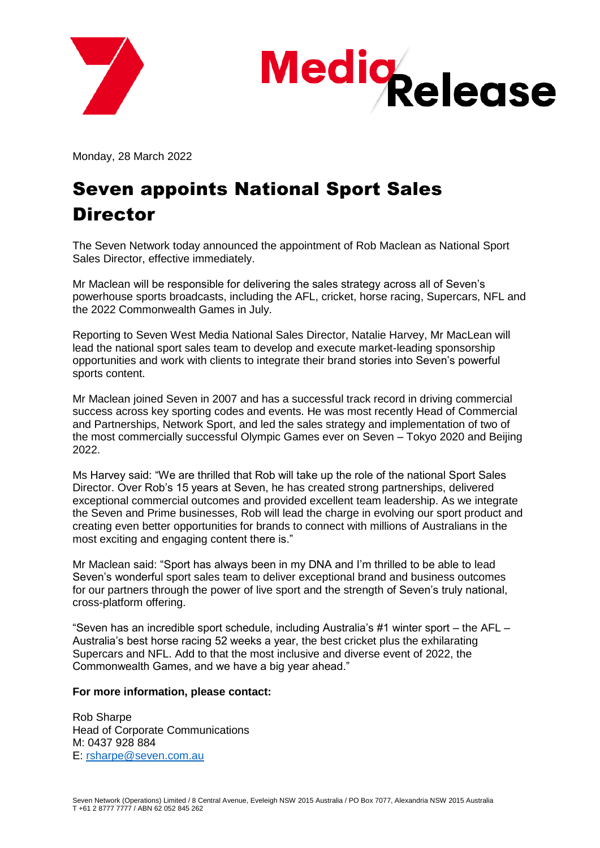



Monday, 28 March 2022

## Seven appoints National Sport Sales **Director**

The Seven Network today announced the appointment of Rob Maclean as National Sport Sales Director, effective immediately.

Mr Maclean will be responsible for delivering the sales strategy across all of Seven's powerhouse sports broadcasts, including the AFL, cricket, horse racing, Supercars, NFL and the 2022 Commonwealth Games in July.

Reporting to Seven West Media National Sales Director, Natalie Harvey, Mr MacLean will lead the national sport sales team to develop and execute market-leading sponsorship opportunities and work with clients to integrate their brand stories into Seven's powerful sports content.

Mr Maclean joined Seven in 2007 and has a successful track record in driving commercial success across key sporting codes and events. He was most recently Head of Commercial and Partnerships, Network Sport, and led the sales strategy and implementation of two of the most commercially successful Olympic Games ever on Seven – Tokyo 2020 and Beijing 2022.

Ms Harvey said: "We are thrilled that Rob will take up the role of the national Sport Sales Director. Over Rob's 15 years at Seven, he has created strong partnerships, delivered exceptional commercial outcomes and provided excellent team leadership. As we integrate the Seven and Prime businesses, Rob will lead the charge in evolving our sport product and creating even better opportunities for brands to connect with millions of Australians in the most exciting and engaging content there is."

Mr Maclean said: "Sport has always been in my DNA and I'm thrilled to be able to lead Seven's wonderful sport sales team to deliver exceptional brand and business outcomes for our partners through the power of live sport and the strength of Seven's truly national, cross-platform offering.

"Seven has an incredible sport schedule, including Australia's #1 winter sport – the AFL – Australia's best horse racing 52 weeks a year, the best cricket plus the exhilarating Supercars and NFL. Add to that the most inclusive and diverse event of 2022, the Commonwealth Games, and we have a big year ahead."

## **For more information, please contact:**

Rob Sharpe Head of Corporate Communications M: 0437 928 884 E: [rsharpe@seven.com.au](mailto:rsharpe@seven.com.au)